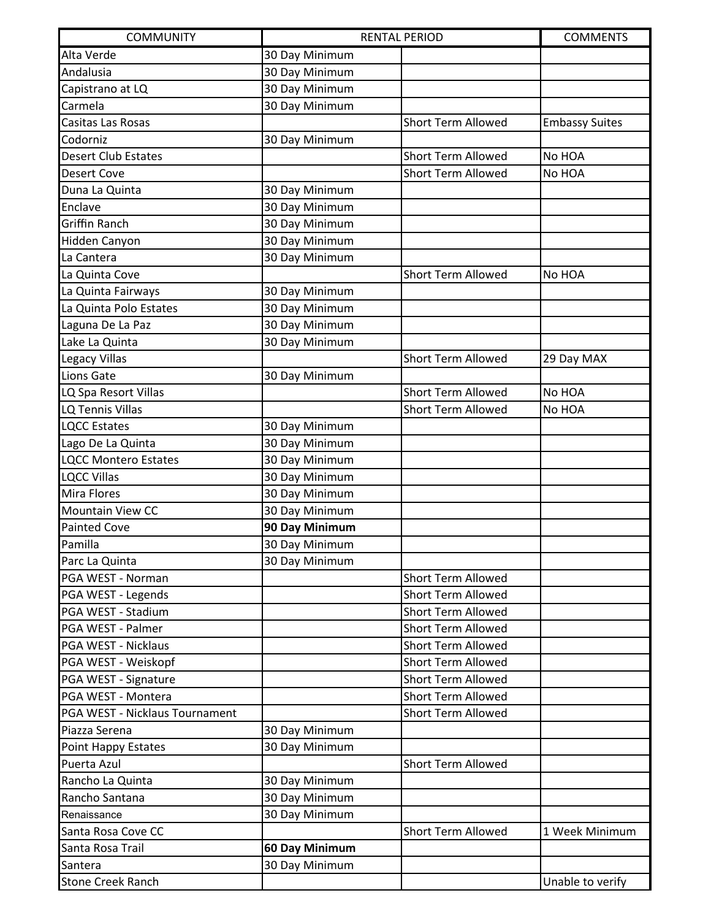| <b>COMMUNITY</b>               | <b>RENTAL PERIOD</b><br><b>COMMENTS</b> |                           |                       |
|--------------------------------|-----------------------------------------|---------------------------|-----------------------|
| Alta Verde                     | 30 Day Minimum                          |                           |                       |
| Andalusia                      | 30 Day Minimum                          |                           |                       |
| Capistrano at LQ               | 30 Day Minimum                          |                           |                       |
| Carmela                        | 30 Day Minimum                          |                           |                       |
| Casitas Las Rosas              |                                         | <b>Short Term Allowed</b> | <b>Embassy Suites</b> |
| Codorniz                       | 30 Day Minimum                          |                           |                       |
| <b>Desert Club Estates</b>     |                                         | <b>Short Term Allowed</b> | No HOA                |
| <b>Desert Cove</b>             |                                         | <b>Short Term Allowed</b> | No HOA                |
| Duna La Quinta                 | 30 Day Minimum                          |                           |                       |
| Enclave                        | 30 Day Minimum                          |                           |                       |
| <b>Griffin Ranch</b>           | 30 Day Minimum                          |                           |                       |
| Hidden Canyon                  | 30 Day Minimum                          |                           |                       |
| La Cantera                     | 30 Day Minimum                          |                           |                       |
| La Quinta Cove                 |                                         | <b>Short Term Allowed</b> | No HOA                |
| La Quinta Fairways             | 30 Day Minimum                          |                           |                       |
| La Quinta Polo Estates         | 30 Day Minimum                          |                           |                       |
| Laguna De La Paz               | 30 Day Minimum                          |                           |                       |
| Lake La Quinta                 | 30 Day Minimum                          |                           |                       |
| Legacy Villas                  |                                         | <b>Short Term Allowed</b> | 29 Day MAX            |
| Lions Gate                     | 30 Day Minimum                          |                           |                       |
| LQ Spa Resort Villas           |                                         | <b>Short Term Allowed</b> | No HOA                |
| LQ Tennis Villas               |                                         | Short Term Allowed        | No HOA                |
| <b>LQCC Estates</b>            | 30 Day Minimum                          |                           |                       |
| Lago De La Quinta              | 30 Day Minimum                          |                           |                       |
| <b>LQCC Montero Estates</b>    | 30 Day Minimum                          |                           |                       |
| <b>LQCC Villas</b>             | 30 Day Minimum                          |                           |                       |
| Mira Flores                    | 30 Day Minimum                          |                           |                       |
| Mountain View CC               | 30 Day Minimum                          |                           |                       |
| <b>Painted Cove</b>            | 90 Day Minimum                          |                           |                       |
| Pamilla                        | 30 Day Minimum                          |                           |                       |
| Parc La Quinta                 | 30 Day Minimum                          |                           |                       |
| PGA WEST - Norman              |                                         | <b>Short Term Allowed</b> |                       |
| PGA WEST - Legends             |                                         | <b>Short Term Allowed</b> |                       |
| PGA WEST - Stadium             |                                         | <b>Short Term Allowed</b> |                       |
| PGA WEST - Palmer              |                                         | <b>Short Term Allowed</b> |                       |
| PGA WEST - Nicklaus            |                                         | <b>Short Term Allowed</b> |                       |
| PGA WEST - Weiskopf            |                                         | <b>Short Term Allowed</b> |                       |
| PGA WEST - Signature           |                                         | <b>Short Term Allowed</b> |                       |
| PGA WEST - Montera             |                                         | <b>Short Term Allowed</b> |                       |
| PGA WEST - Nicklaus Tournament |                                         | <b>Short Term Allowed</b> |                       |
| Piazza Serena                  | 30 Day Minimum                          |                           |                       |
| Point Happy Estates            | 30 Day Minimum                          |                           |                       |
| Puerta Azul                    |                                         | <b>Short Term Allowed</b> |                       |
| Rancho La Quinta               | 30 Day Minimum                          |                           |                       |
| Rancho Santana                 | 30 Day Minimum                          |                           |                       |
| Renaissance                    | 30 Day Minimum                          |                           |                       |
| Santa Rosa Cove CC             |                                         | <b>Short Term Allowed</b> | 1 Week Minimum        |
| Santa Rosa Trail               | 60 Day Minimum                          |                           |                       |
| Santera                        | 30 Day Minimum                          |                           |                       |
| <b>Stone Creek Ranch</b>       |                                         |                           | Unable to verify      |